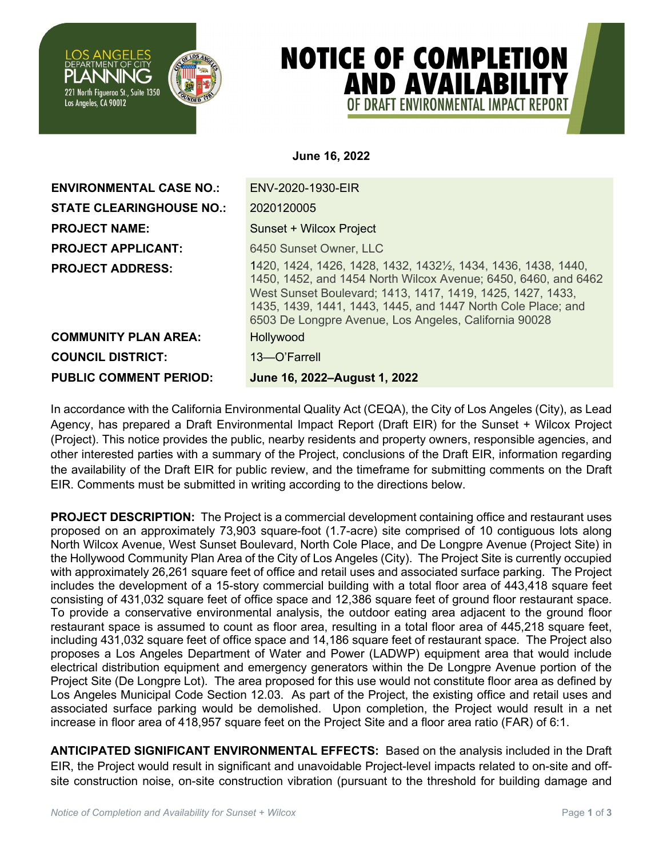

## **NOTICE OF COMPLETION AND AVAILABILITY** OF DRAFT FNVIRONMFNTAL IMPACT RFPORT

**June 16, 2022**

**ENVIRONMENTAL CASE NO.:** ENV-2020-1930-EIR **STATE CLEARINGHOUSE NO.:** 2020120005 **PROJECT NAME:** Sunset + Wilcox Project **PROJECT APPLICANT:** 6450 Sunset Owner, LLC **PROJECT ADDRESS:** 1420, 1424, 1426, 1428, 1432, 14321/<sub>2</sub>, 1434, 1436, 1438, 1440, 1450, 1452, and 1454 North Wilcox Avenue; 6450, 6460, and 6462 West Sunset Boulevard; 1413, 1417, 1419, 1425, 1427, 1433, 1435, 1439, 1441, 1443, 1445, and 1447 North Cole Place; and 6503 De Longpre Avenue, Los Angeles, California 90028 **COMMUNITY PLAN AREA:** Hollywood **COUNCIL DISTRICT:** 13—O'Farrell **PUBLIC COMMENT PERIOD: June 16, 2022–August 1, 2022** 

In accordance with the California Environmental Quality Act (CEQA), the City of Los Angeles (City), as Lead Agency, has prepared a Draft Environmental Impact Report (Draft EIR) for the Sunset + Wilcox Project (Project). This notice provides the public, nearby residents and property owners, responsible agencies, and other interested parties with a summary of the Project, conclusions of the Draft EIR, information regarding the availability of the Draft EIR for public review, and the timeframe for submitting comments on the Draft EIR. Comments must be submitted in writing according to the directions below.

**PROJECT DESCRIPTION:** The Project is a commercial development containing office and restaurant uses proposed on an approximately 73,903 square-foot (1.7-acre) site comprised of 10 contiguous lots along North Wilcox Avenue, West Sunset Boulevard, North Cole Place, and De Longpre Avenue (Project Site) in the Hollywood Community Plan Area of the City of Los Angeles (City). The Project Site is currently occupied with approximately 26,261 square feet of office and retail uses and associated surface parking. The Project includes the development of a 15-story commercial building with a total floor area of 443,418 square feet consisting of 431,032 square feet of office space and 12,386 square feet of ground floor restaurant space. To provide a conservative environmental analysis, the outdoor eating area adjacent to the ground floor restaurant space is assumed to count as floor area, resulting in a total floor area of 445,218 square feet, including 431,032 square feet of office space and 14,186 square feet of restaurant space. The Project also proposes a Los Angeles Department of Water and Power (LADWP) equipment area that would include electrical distribution equipment and emergency generators within the De Longpre Avenue portion of the Project Site (De Longpre Lot). The area proposed for this use would not constitute floor area as defined by Los Angeles Municipal Code Section 12.03. As part of the Project, the existing office and retail uses and associated surface parking would be demolished. Upon completion, the Project would result in a net increase in floor area of 418,957 square feet on the Project Site and a floor area ratio (FAR) of 6:1.

**ANTICIPATED SIGNIFICANT ENVIRONMENTAL EFFECTS:** Based on the analysis included in the Draft EIR, the Project would result in significant and unavoidable Project-level impacts related to on-site and offsite construction noise, on-site construction vibration (pursuant to the threshold for building damage and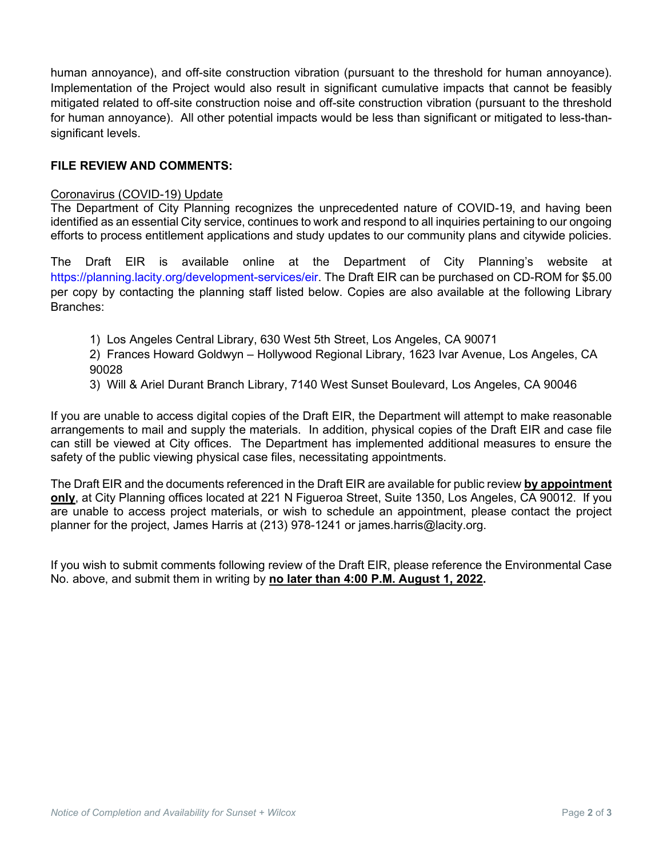human annoyance), and off-site construction vibration (pursuant to the threshold for human annoyance). Implementation of the Project would also result in significant cumulative impacts that cannot be feasibly mitigated related to off-site construction noise and off-site construction vibration (pursuant to the threshold for human annoyance). All other potential impacts would be less than significant or mitigated to less-thansignificant levels.

## **FILE REVIEW AND COMMENTS:**

## Coronavirus (COVID-19) Update

The Department of City Planning recognizes the unprecedented nature of COVID-19, and having been identified as an essential City service, continues to work and respond to all inquiries pertaining to our ongoing efforts to process entitlement applications and study updates to our community plans and citywide policies.

The Draft EIR is available online at the Department of City Planning's website at https://planning.lacity.org/development-services/eir. The Draft EIR can be purchased on CD-ROM for \$5.00 per copy by contacting the planning staff listed below. Copies are also available at the following Library Branches:

- 1) Los Angeles Central Library, 630 West 5th Street, Los Angeles, CA 90071
- 2) Frances Howard Goldwyn Hollywood Regional Library, 1623 Ivar Avenue, Los Angeles, CA 90028
- 3) Will & Ariel Durant Branch Library, 7140 West Sunset Boulevard, Los Angeles, CA 90046

If you are unable to access digital copies of the Draft EIR, the Department will attempt to make reasonable arrangements to mail and supply the materials. In addition, physical copies of the Draft EIR and case file can still be viewed at City offices. The Department has implemented additional measures to ensure the safety of the public viewing physical case files, necessitating appointments.

The Draft EIR and the documents referenced in the Draft EIR are available for public review **by appointment only**, at City Planning offices located at 221 N Figueroa Street, Suite 1350, Los Angeles, CA 90012. If you are unable to access project materials, or wish to schedule an appointment, please contact the project planner for the project, James Harris at (213) 978-1241 or james.harris@lacity.org.

If you wish to submit comments following review of the Draft EIR, please reference the Environmental Case No. above, and submit them in writing by **no later than 4:00 P.M. August 1, 2022.**